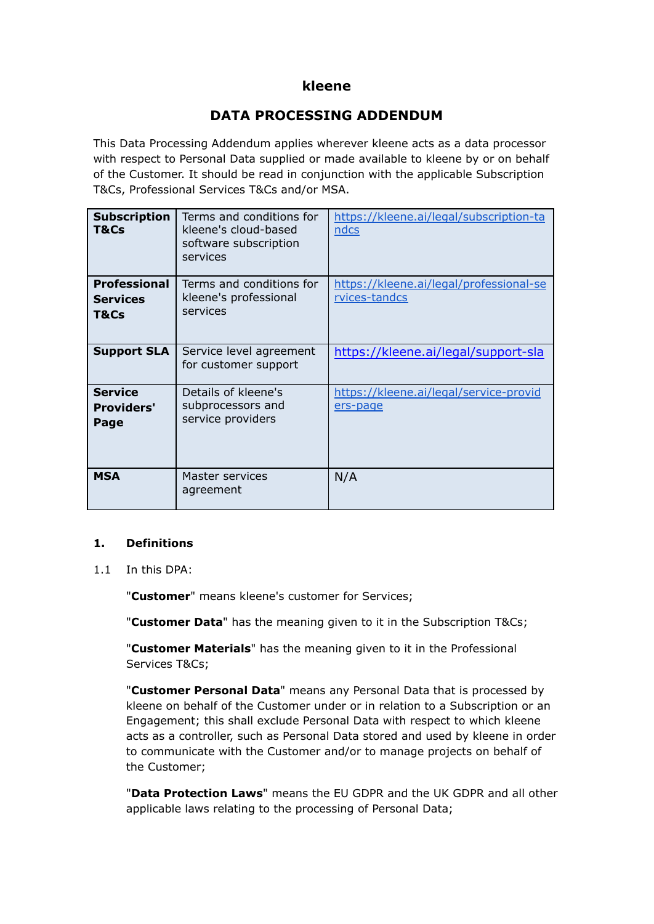## **kleene**

# **DATA PROCESSING ADDENDUM**

This Data Processing Addendum applies wherever kleene acts as a data processor with respect to Personal Data supplied or made available to kleene by or on behalf of the Customer. It should be read in conjunction with the applicable Subscription T&Cs, Professional Services T&Cs and/or MSA.

| <b>Subscription</b><br>T&Cs                    | Terms and conditions for<br>kleene's cloud-based<br>software subscription<br>services | https://kleene.ai/legal/subscription-ta<br>ndcs          |
|------------------------------------------------|---------------------------------------------------------------------------------------|----------------------------------------------------------|
| <b>Professional</b><br><b>Services</b><br>T&Cs | Terms and conditions for<br>kleene's professional<br>services                         | https://kleene.ai/legal/professional-se<br>rvices-tandcs |
| <b>Support SLA</b>                             | Service level agreement<br>for customer support                                       | https://kleene.ai/legal/support-sla                      |
| <b>Service</b><br><b>Providers'</b><br>Page    | Details of kleene's<br>subprocessors and<br>service providers                         | https://kleene.ai/legal/service-provid<br>ers-page       |
| <b>MSA</b>                                     | Master services<br>agreement                                                          | N/A                                                      |

#### **1. Definitions**

1.1 In this DPA:

"**Customer**" means kleene's customer for Services;

"**Customer Data**" has the meaning given to it in the Subscription T&Cs;

"**Customer Materials**" has the meaning given to it in the Professional Services T&Cs;

"**Customer Personal Data**" means any Personal Data that is processed by kleene on behalf of the Customer under or in relation to a Subscription or an Engagement; this shall exclude Personal Data with respect to which kleene acts as a controller, such as Personal Data stored and used by kleene in order to communicate with the Customer and/or to manage projects on behalf of the Customer;

"**Data Protection Laws**" means the EU GDPR and the UK GDPR and all other applicable laws relating to the processing of Personal Data;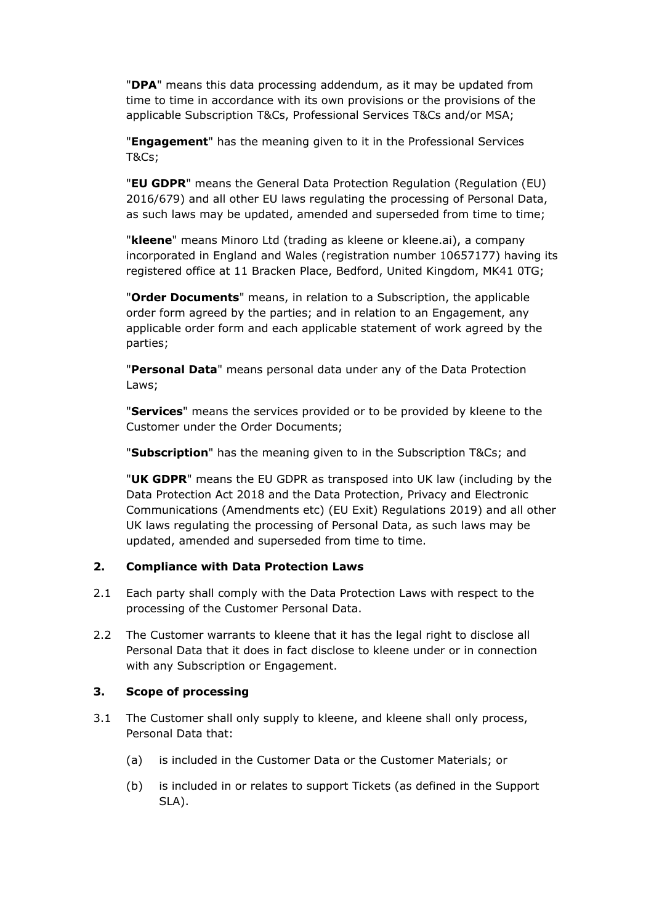"**DPA**" means this data processing addendum, as it may be updated from time to time in accordance with its own provisions or the provisions of the applicable Subscription T&Cs, Professional Services T&Cs and/or MSA;

"**Engagement**" has the meaning given to it in the Professional Services T&Cs;

"**EU GDPR**" means the General Data Protection Regulation (Regulation (EU) 2016/679) and all other EU laws regulating the processing of Personal Data, as such laws may be updated, amended and superseded from time to time;

"**kleene**" means Minoro Ltd (trading as kleene or kleene.ai), a company incorporated in England and Wales (registration number 10657177) having its registered office at 11 Bracken Place, Bedford, United Kingdom, MK41 0TG;

"**Order Documents**" means, in relation to a Subscription, the applicable order form agreed by the parties; and in relation to an Engagement, any applicable order form and each applicable statement of work agreed by the parties;

"**Personal Data**" means personal data under any of the Data Protection Laws;

"**Services**" means the services provided or to be provided by kleene to the Customer under the Order Documents;

"**Subscription**" has the meaning given to in the Subscription T&Cs; and

"**UK GDPR**" means the EU GDPR as transposed into UK law (including by the Data Protection Act 2018 and the Data Protection, Privacy and Electronic Communications (Amendments etc) (EU Exit) Regulations 2019) and all other UK laws regulating the processing of Personal Data, as such laws may be updated, amended and superseded from time to time.

#### **2. Compliance with Data Protection Laws**

- 2.1 Each party shall comply with the Data Protection Laws with respect to the processing of the Customer Personal Data.
- 2.2 The Customer warrants to kleene that it has the legal right to disclose all Personal Data that it does in fact disclose to kleene under or in connection with any Subscription or Engagement.

#### **3. Scope of processing**

- 3.1 The Customer shall only supply to kleene, and kleene shall only process, Personal Data that:
	- (a) is included in the Customer Data or the Customer Materials; or
	- (b) is included in or relates to support Tickets (as defined in the Support SLA).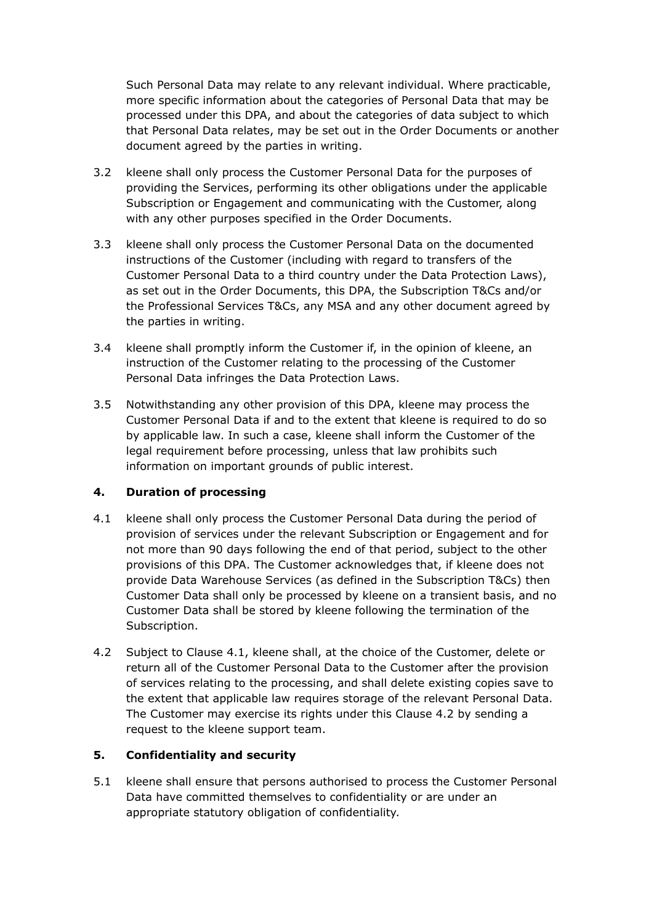Such Personal Data may relate to any relevant individual. Where practicable, more specific information about the categories of Personal Data that may be processed under this DPA, and about the categories of data subject to which that Personal Data relates, may be set out in the Order Documents or another document agreed by the parties in writing.

- 3.2 kleene shall only process the Customer Personal Data for the purposes of providing the Services, performing its other obligations under the applicable Subscription or Engagement and communicating with the Customer, along with any other purposes specified in the Order Documents.
- 3.3 kleene shall only process the Customer Personal Data on the documented instructions of the Customer (including with regard to transfers of the Customer Personal Data to a third country under the Data Protection Laws), as set out in the Order Documents, this DPA, the Subscription T&Cs and/or the Professional Services T&Cs, any MSA and any other document agreed by the parties in writing.
- 3.4 kleene shall promptly inform the Customer if, in the opinion of kleene, an instruction of the Customer relating to the processing of the Customer Personal Data infringes the Data Protection Laws.
- 3.5 Notwithstanding any other provision of this DPA, kleene may process the Customer Personal Data if and to the extent that kleene is required to do so by applicable law. In such a case, kleene shall inform the Customer of the legal requirement before processing, unless that law prohibits such information on important grounds of public interest.

#### **4. Duration of processing**

- 4.1 kleene shall only process the Customer Personal Data during the period of provision of services under the relevant Subscription or Engagement and for not more than 90 days following the end of that period, subject to the other provisions of this DPA. The Customer acknowledges that, if kleene does not provide Data Warehouse Services (as defined in the Subscription T&Cs) then Customer Data shall only be processed by kleene on a transient basis, and no Customer Data shall be stored by kleene following the termination of the Subscription.
- 4.2 Subject to Clause 4.1, kleene shall, at the choice of the Customer, delete or return all of the Customer Personal Data to the Customer after the provision of services relating to the processing, and shall delete existing copies save to the extent that applicable law requires storage of the relevant Personal Data. The Customer may exercise its rights under this Clause 4.2 by sending a request to the kleene support team.

#### **5. Confidentiality and security**

5.1 kleene shall ensure that persons authorised to process the Customer Personal Data have committed themselves to confidentiality or are under an appropriate statutory obligation of confidentiality.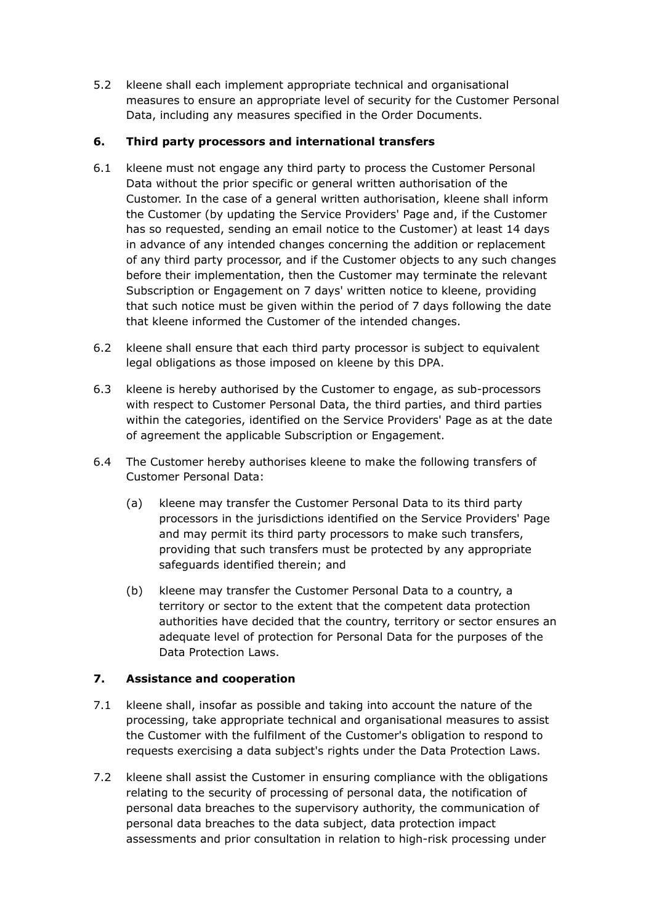5.2 kleene shall each implement appropriate technical and organisational measures to ensure an appropriate level of security for the Customer Personal Data, including any measures specified in the Order Documents.

### **6. Third party processors and international transfers**

- 6.1 kleene must not engage any third party to process the Customer Personal Data without the prior specific or general written authorisation of the Customer. In the case of a general written authorisation, kleene shall inform the Customer (by updating the Service Providers' Page and, if the Customer has so requested, sending an email notice to the Customer) at least 14 days in advance of any intended changes concerning the addition or replacement of any third party processor, and if the Customer objects to any such changes before their implementation, then the Customer may terminate the relevant Subscription or Engagement on 7 days' written notice to kleene, providing that such notice must be given within the period of 7 days following the date that kleene informed the Customer of the intended changes.
- 6.2 kleene shall ensure that each third party processor is subject to equivalent legal obligations as those imposed on kleene by this DPA.
- 6.3 kleene is hereby authorised by the Customer to engage, as sub-processors with respect to Customer Personal Data, the third parties, and third parties within the categories, identified on the Service Providers' Page as at the date of agreement the applicable Subscription or Engagement.
- 6.4 The Customer hereby authorises kleene to make the following transfers of Customer Personal Data:
	- (a) kleene may transfer the Customer Personal Data to its third party processors in the jurisdictions identified on the Service Providers' Page and may permit its third party processors to make such transfers, providing that such transfers must be protected by any appropriate safeguards identified therein; and
	- (b) kleene may transfer the Customer Personal Data to a country, a territory or sector to the extent that the competent data protection authorities have decided that the country, territory or sector ensures an adequate level of protection for Personal Data for the purposes of the Data Protection Laws.

#### **7. Assistance and cooperation**

- 7.1 kleene shall, insofar as possible and taking into account the nature of the processing, take appropriate technical and organisational measures to assist the Customer with the fulfilment of the Customer's obligation to respond to requests exercising a data subject's rights under the Data Protection Laws.
- 7.2 kleene shall assist the Customer in ensuring compliance with the obligations relating to the security of processing of personal data, the notification of personal data breaches to the supervisory authority, the communication of personal data breaches to the data subject, data protection impact assessments and prior consultation in relation to high-risk processing under